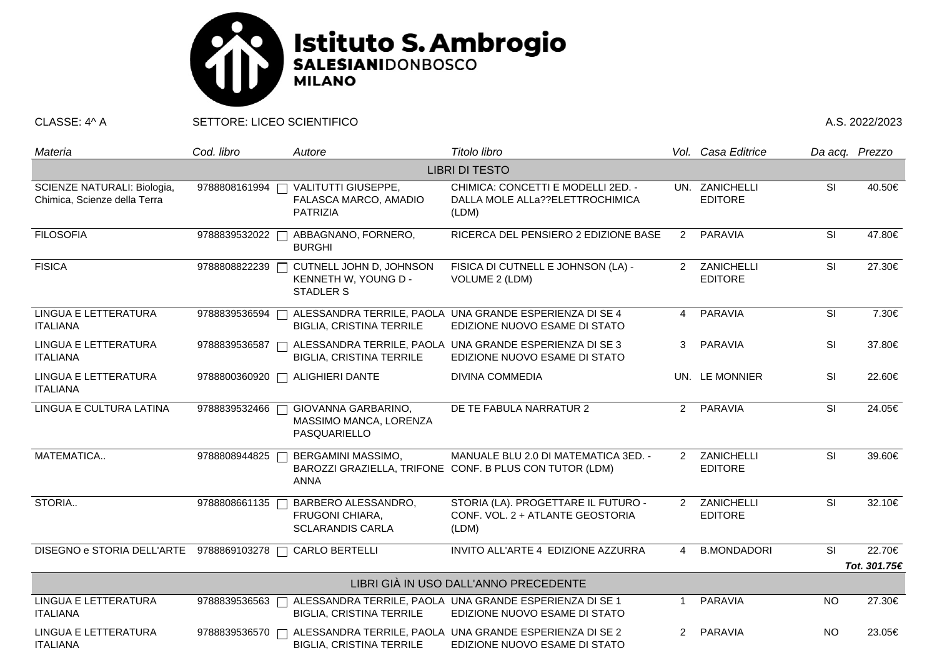

CLASSE: 4^ A SETTORE: LICEO SCIENTIFICO A.S. 2022/2023

| Materia                                                     | Cod. libro    | Autore                                                              | Titolo libro                                                                                    |                | Vol. Casa Editrice               | Da acq. Prezzo           |              |  |  |  |  |
|-------------------------------------------------------------|---------------|---------------------------------------------------------------------|-------------------------------------------------------------------------------------------------|----------------|----------------------------------|--------------------------|--------------|--|--|--|--|
| <b>LIBRI DI TESTO</b>                                       |               |                                                                     |                                                                                                 |                |                                  |                          |              |  |  |  |  |
| SCIENZE NATURALI: Biologia,<br>Chimica, Scienze della Terra | 9788808161994 | <b>VALITUTTI GIUSEPPE,</b><br>FALASCA MARCO, AMADIO<br>PATRIZIA     | CHIMICA: CONCETTI E MODELLI 2ED. -<br>DALLA MOLE ALLa??ELETTROCHIMICA<br>(LDM)                  |                | UN. ZANICHELLI<br><b>EDITORE</b> | $\overline{\mathsf{SI}}$ | 40.50€       |  |  |  |  |
| <b>FILOSOFIA</b>                                            | 9788839532022 | ABBAGNANO, FORNERO,<br><b>BURGHI</b>                                | RICERCA DEL PENSIERO 2 EDIZIONE BASE                                                            | $\overline{2}$ | PARAVIA                          | SI                       | 47.80€       |  |  |  |  |
| <b>FISICA</b>                                               | 9788808822239 | CUTNELL JOHN D, JOHNSON<br>KENNETH W, YOUNG D -<br><b>STADLER S</b> | FISICA DI CUTNELL E JOHNSON (LA) -<br>VOLUME 2 (LDM)                                            | $\mathcal{P}$  | ZANICHELLI<br><b>EDITORE</b>     | SI                       | 27.30€       |  |  |  |  |
| LINGUA E LETTERATURA<br><b>ITALIANA</b>                     | 9788839536594 | <b>BIGLIA, CRISTINA TERRILE</b>                                     | ALESSANDRA TERRILE, PAOLA UNA GRANDE ESPERIENZA DI SE 4<br>EDIZIONE NUOVO ESAME DI STATO        | $\overline{4}$ | PARAVIA                          | SI                       | 7.30€        |  |  |  |  |
| LINGUA E LETTERATURA<br><b>ITALIANA</b>                     | 9788839536587 | <b>BIGLIA, CRISTINA TERRILE</b>                                     | ALESSANDRA TERRILE, PAOLA UNA GRANDE ESPERIENZA DI SE 3<br>EDIZIONE NUOVO ESAME DI STATO        | 3              | PARAVIA                          | SI                       | 37.80€       |  |  |  |  |
| LINGUA E LETTERATURA<br><b>ITALIANA</b>                     | 9788800360920 | <b>ALIGHIERI DANTE</b>                                              | <b>DIVINA COMMEDIA</b>                                                                          |                | UN. LE MONNIER                   | <b>SI</b>                | 22.60€       |  |  |  |  |
| LINGUA E CULTURA LATINA                                     | 9788839532466 | GIOVANNA GARBARINO,<br>MASSIMO MANCA, LORENZA<br>PASQUARIELLO       | DE TE FABULA NARRATUR 2                                                                         |                | 2 PARAVIA                        | <b>SI</b>                | 24.05€       |  |  |  |  |
| MATEMATICA                                                  | 9788808944825 | BERGAMINI MASSIMO,<br><b>ANNA</b>                                   | MANUALE BLU 2.0 DI MATEMATICA 3ED. -<br>BAROZZI GRAZIELLA, TRIFONE CONF. B PLUS CON TUTOR (LDM) | $2^{\circ}$    | ZANICHELLI<br><b>EDITORE</b>     | SI                       | 39.60€       |  |  |  |  |
| STORIA                                                      | 9788808661135 | BARBERO ALESSANDRO,<br>FRUGONI CHIARA,<br><b>SCLARANDIS CARLA</b>   | STORIA (LA). PROGETTARE IL FUTURO -<br>CONF. VOL. 2 + ATLANTE GEOSTORIA<br>(LDM)                | 2              | ZANICHELLI<br><b>EDITORE</b>     | SI                       | 32.10€       |  |  |  |  |
| DISEGNO e STORIA DELL'ARTE 9788869103278 □                  |               | <b>CARLO BERTELLI</b>                                               | INVITO ALL'ARTE 4 EDIZIONE AZZURRA                                                              | 4              | <b>B.MONDADORI</b>               | <b>SI</b>                | 22.70€       |  |  |  |  |
|                                                             |               |                                                                     |                                                                                                 |                |                                  |                          | Tot. 301.75€ |  |  |  |  |
| LIBRI GIÀ IN USO DALL'ANNO PRECEDENTE                       |               |                                                                     |                                                                                                 |                |                                  |                          |              |  |  |  |  |
| <b>LINGUA E LETTERATURA</b><br><b>ITALIANA</b>              | 9788839536563 | <b>BIGLIA, CRISTINA TERRILE</b>                                     | ALESSANDRA TERRILE, PAOLA UNA GRANDE ESPERIENZA DI SE 1<br>EDIZIONE NUOVO ESAME DI STATO        | -1             | <b>PARAVIA</b>                   | <b>NO</b>                | 27.30€       |  |  |  |  |
| LINGUA E LETTERATURA<br><b>ITALIANA</b>                     | 9788839536570 | <b>BIGLIA, CRISTINA TERRILE</b>                                     | ALESSANDRA TERRILE, PAOLA UNA GRANDE ESPERIENZA DI SE 2<br>EDIZIONE NUOVO ESAME DI STATO        | $\overline{2}$ | PARAVIA                          | <b>NO</b>                | 23.05€       |  |  |  |  |